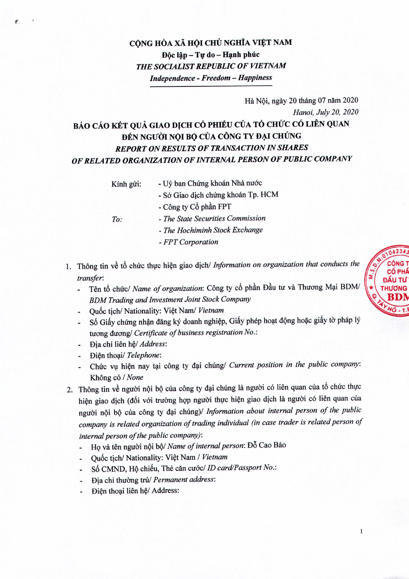## CỘNG HÒA XÃ HỘI CHỦ NGHĨA VIỆT NAM Độc lập - Tự do - Hạnh phúc *THE SOCIALIST REPUBLIC OF VIETNAM Independence - Freedom - Happiness*

## Hà Nôi, ngày 20 tháng 07 năm 2020 *Hanoi, July 20, 2020* BÁO CÁO KẾT QUẢ GIAO DỊCH CỔ PHIẾU CỦA TỔ CHỨC CÓ LIÊN QUAN **ĐẾN NGƯỜI NỘI BỘ CỦA CÔNG TY ĐẠI CHÚNG** *REPORT ON RESULTS OF TRANSACTION IN SHARES OF RELATED ORGANIZATION OF INTERNAL PERSON OF PUBLIC COMPANY*

Kính gửi:

- Uỷ ban Chứng khoán Nhà nước
	- *- Sa* Giao dich chirng khoan Tp. HCM
- Công ty Cổ phần FPT

*To:*

- *- The State Securities Commission*
- *- The Hochiminh Stock Exchange*
- *- FPT Corporation*
- 1. Thông tin về tổ chức thực hiện giao dịch/ *Information on organization that conducts the transfer:*
	- Tên tổ chức/ Name of organization: Công ty cổ phần Đầu tư và Thương Mại BDM/  $\blacksquare$ *BDM Trading and Investment Joint Stock Company*
	- Qu6c tich/ Nationality: Viet *Naml Vietnam*
	- Số Giấy chứng nhận đăng ký doanh nghiệp, Giấy phép hoạt động hoặc giấy tờ pháp lý nrong duong! *Certificate of business registration No.:*
	- Dia chi lien *MI Address:*
	- Dien thoai/ *Telephone:*
	- Chirc VI,l hien nay tai cong ty dai chung/ *Current position in the public company:* Không có / *None*
- 2. Thông tin về người nội bộ của công ty đại chúng là người có liên quan của tổ chức thực hiện giao dịch (đối với trường hợp người thực hiện giao dịch là người có liên quan của ngiroi nQi bQ cua cong ty d~i chung)1 *Iriformation about internal person of the public company is related organization of trading individual (in case trader is related person of*  $internal person of the public company):$ 
	- Họ và tên người nội bộ/ Name of internal person: Đỗ Cao Bảo
	- Quốc tịch/ Nationality: Việt Nam / Vietnam
	- Số CMND, Hộ chiếu, Thẻ căn cước/ ID card/Passport No.:
	- $Dia$  chi thường trú/ Permanent address:
	- **Diện thoại liên hệ/ Address:**  $\blacksquare$



 $\mathbf{1}$